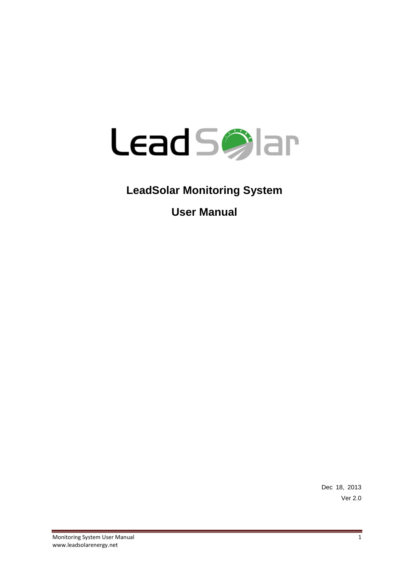

# **LeadSolar Monitoring System**

**User Manual**

Dec 18, 2013 Ver 2.0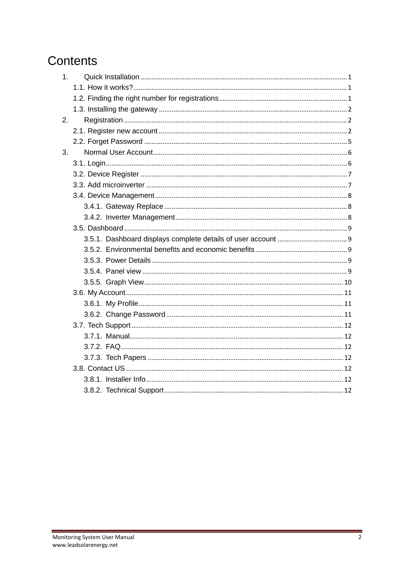# Contents

| 1. |  |
|----|--|
|    |  |
|    |  |
|    |  |
| 2. |  |
|    |  |
|    |  |
| 3. |  |
|    |  |
|    |  |
|    |  |
|    |  |
|    |  |
|    |  |
|    |  |
|    |  |
|    |  |
|    |  |
|    |  |
|    |  |
|    |  |
|    |  |
|    |  |
|    |  |
|    |  |
|    |  |
|    |  |
|    |  |
|    |  |
|    |  |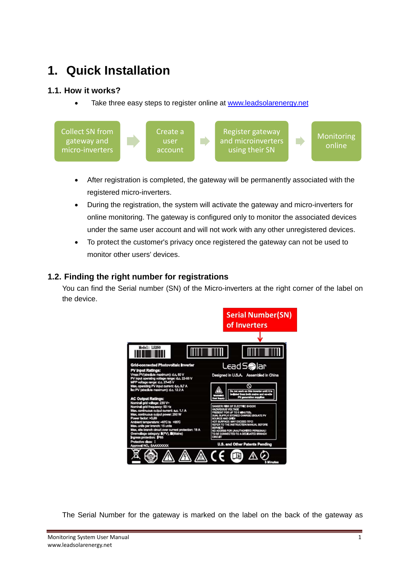# <span id="page-2-0"></span>**1. Quick Installation**

# <span id="page-2-1"></span>**1.1. How it works?**

Take three easy steps to register online at [www.leadsolarenergy.net](http://www.leadsolarenergy.net/)



- After registration is completed, the gateway will be permanently associated with the registered micro-inverters.
- During the registration, the system will activate the gateway and micro-inverters for online monitoring. The gateway is configured only to monitor the associated devices under the same user account and will not work with any other unregistered devices.
- To protect the customer's privacy once registered the gateway can not be used to monitor other users' devices.

### <span id="page-2-2"></span>**1.2. Finding the right number for registrations**

You can find the Serial number (SN) of the Micro-inverters at the right corner of the label on the device.



The Serial Number for the gateway is marked on the label on the back of the gateway as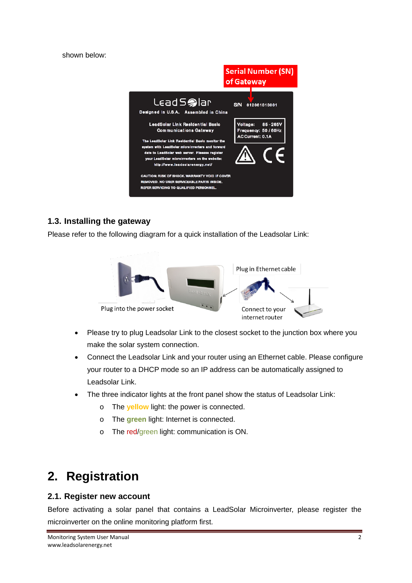shown below:



# <span id="page-3-0"></span>**1.3. Installing the gateway**

Please refer to the following diagram for a quick installation of the Leadsolar Link:



- Please try to plug Leadsolar Link to the closest socket to the junction box where you make the solar system connection.
- Connect the Leadsolar Link and your router using an Ethernet cable. Please configure your router to a DHCP mode so an IP address can be automatically assigned to Leadsolar Link.
- The three indicator lights at the front panel show the status of Leadsolar Link:
	- o The **yellow** light: the power is connected.
	- o The **green** light: Internet is connected.
	- o The red/green light: communication is ON.

# <span id="page-3-1"></span>**2. Registration**

### <span id="page-3-2"></span>**2.1. Register new account**

Before activating a solar panel that contains a LeadSolar Microinverter, please register the microinverter on the online monitoring platform first.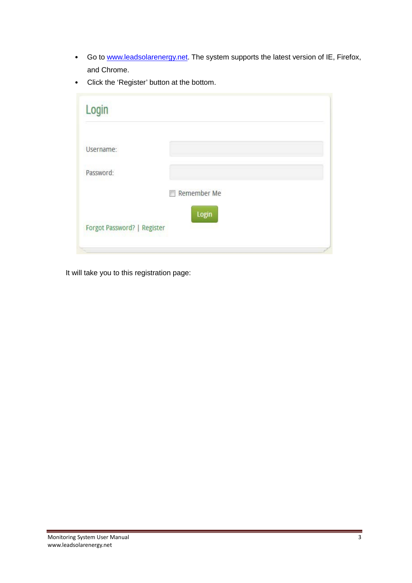- Go to [www.leadsolarenergy.net.](http://www.leadsolarenergy.net/) The system supports the latest version of IE, Firefox, and Chrome.
- Click the 'Register' button at the bottom.

| Login                       |                           |
|-----------------------------|---------------------------|
| Username:                   |                           |
| Password:                   |                           |
|                             | Remember Me<br><b>FOR</b> |
| Forgot Password?   Register | Login                     |
|                             |                           |

It will take you to this registration page: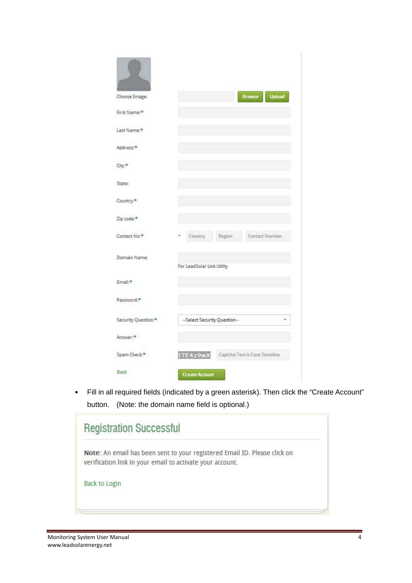| Choose Image:                   | Browse<br><b>Upload</b>                    |
|---------------------------------|--------------------------------------------|
| First Name:*                    |                                            |
| Last Name:*                     |                                            |
| Address.*                       |                                            |
| City:*                          |                                            |
| State:                          |                                            |
| Country: <sup>*</sup>           |                                            |
| Zip code:*                      |                                            |
| Contact No:*                    | Contact Number<br>Country<br>Region        |
| Domain Name:                    |                                            |
|                                 | For LeadSolar Link Utility                 |
| Email:*                         |                                            |
| Password:*                      |                                            |
| Security Question: <sup>*</sup> | -- Select Security Question--              |
| Answer:*                        |                                            |
| Spam Check*                     | 1TE4z9mX<br>Captcha Text is Case Sensitive |
| <b>Back</b>                     | <b>Create Account</b>                      |

• Fill in all required fields (indicated by a green asterisk). Then click the "Create Account" button. (Note: the domain name field is optional.)

| Note: An email has been sent to your registered Email ID. Please click on<br>verification link in your email to activate your account. |  |
|----------------------------------------------------------------------------------------------------------------------------------------|--|
| <b>Back to Login</b>                                                                                                                   |  |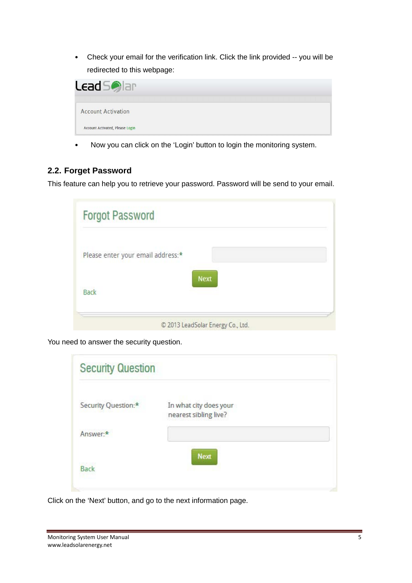• Check your email for the verification link. Click the link provided -- you will be redirected to this webpage:

| <b>Lead Sollar</b>              |  |  |  |  |  |
|---------------------------------|--|--|--|--|--|
| <b>Account Activation</b>       |  |  |  |  |  |
| Account Activated, Please Login |  |  |  |  |  |

• Now you can click on the 'Login' button to login the monitoring system.

# <span id="page-6-0"></span>**2.2. Forget Password**

This feature can help you to retrieve your password. Password will be send to your email.

| <b>Forgot Password</b>                        |                                   |  |
|-----------------------------------------------|-----------------------------------|--|
| Please enter your email address: <sup>*</sup> |                                   |  |
| <b>Back</b>                                   | <b>Next</b>                       |  |
|                                               | © 2013 LeadSolar Energy Co., Ltd. |  |

You need to answer the security question.

| <b>Security Question</b> |                                                 |  |
|--------------------------|-------------------------------------------------|--|
| Security Question:*      | In what city does your<br>nearest sibling live? |  |
| Answer:*                 |                                                 |  |
| <b>Back</b>              | <b>Next</b>                                     |  |

Click on the 'Next' button, and go to the next information page.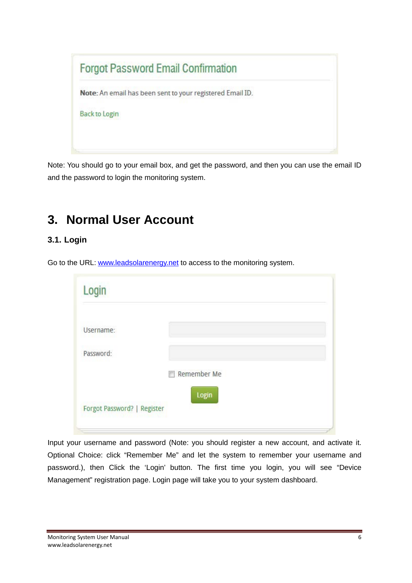| <b>Forgot Password Email Confirmation</b>                 |  |
|-----------------------------------------------------------|--|
| Note: An email has been sent to your registered Email ID. |  |
| <b>Back to Login</b>                                      |  |
|                                                           |  |
|                                                           |  |

Note: You should go to your email box, and get the password, and then you can use the email ID and the password to login the monitoring system.

# <span id="page-7-0"></span>**3. Normal User Account**

# <span id="page-7-1"></span>**3.1. Login**

Go to the URL: [www.leadsolarenergy.net](http://www.leadsolarenergy.net/) to access to the monitoring system.

| Login                       |             |  |
|-----------------------------|-------------|--|
| Username:                   |             |  |
| Password:                   |             |  |
|                             | Remember Me |  |
| Forgot Password?   Register | Login       |  |

Input your username and password (Note: you should register a new account, and activate it. Optional Choice: click "Remember Me" and let the system to remember your username and password.), then Click the 'Login' button. The first time you login, you will see "Device Management" registration page. Login page will take you to your system dashboard.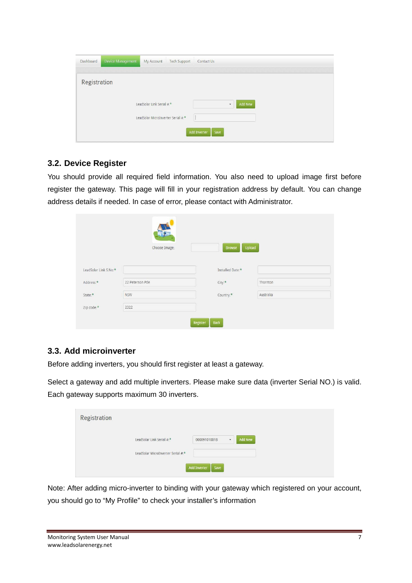| Dashboard    | Device Management | My Account                         | <b>Tech Support</b> | Contact Us                          |
|--------------|-------------------|------------------------------------|---------------------|-------------------------------------|
| Registration |                   |                                    |                     |                                     |
|              |                   |                                    |                     |                                     |
|              |                   | LeadSolar Link Serial #:*          |                     | Add New<br>$\overline{\phantom{a}}$ |
|              |                   | LeadSolar MicroInverter Serial #-* |                     |                                     |
|              |                   |                                    |                     | Add Inverter<br>Save                |

# <span id="page-8-0"></span>**3.2. Device Register**

You should provide all required field information. You also need to upload image first before register the gateway. This page will fill in your registration address by default. You can change address details if needed. In case of error, please contact with Administrator.

|                       | Choose Image:   | Upload<br><b>Browse</b>      |           |
|-----------------------|-----------------|------------------------------|-----------|
| LeadSolar Link S.No:* |                 | Installed Date: <sup>*</sup> |           |
| Address:*             | 22 Peterson Pde | City:                        | Thornton  |
| State:                | <b>NSW</b>      | Country:*                    | Australia |
| Zip code:*            | 2322            |                              |           |

# <span id="page-8-1"></span>**3.3. Add microinverter**

Before adding inverters, you should first register at least a gateway.

Select a gateway and add multiple inverters. Please make sure data (inverter Serial NO.) is valid. Each gateway supports maximum 30 inverters.

| <b>Registration</b> |                                    |                             |                                            |  |
|---------------------|------------------------------------|-----------------------------|--------------------------------------------|--|
|                     | LeadSolar Link Serial #:*          | 00009101001B                | $\overline{\phantom{a}}$<br><b>Add New</b> |  |
|                     | LeadSolar MicroInverter Serial #:* | <b>Add Inverter</b><br>Save |                                            |  |

Note: After adding micro-inverter to binding with your gateway which registered on your account, you should go to "My Profile" to check your installer's information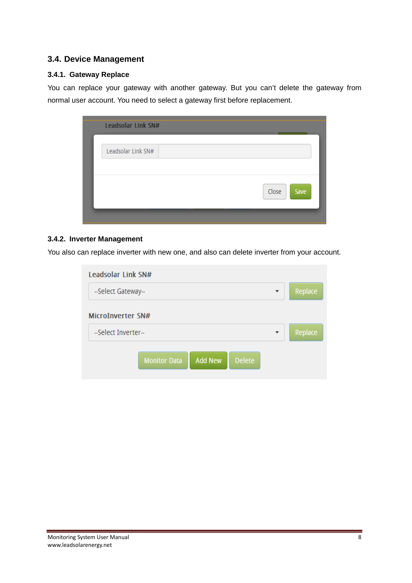### <span id="page-9-0"></span>**3.4. Device Management**

#### <span id="page-9-1"></span>**3.4.1. Gateway Replace**

You can replace your gateway with another gateway. But you can't delete the gateway from normal user account. You need to select a gateway first before replacement.

| Leadsolar Link SN# |  |               |
|--------------------|--|---------------|
| Leadsolar Link SN# |  |               |
|                    |  |               |
|                    |  | Close<br>Save |
|                    |  |               |

#### <span id="page-9-2"></span>**3.4.2. Inverter Management**

You also can replace inverter with new one, and also can delete inverter from your account.

| Leadsolar Link SN#                                     |         |
|--------------------------------------------------------|---------|
| --Select Gateway--<br>$\overline{\phantom{a}}$         | Replace |
| <b>MicroInverter SN#</b>                               |         |
| -Select Inverter-                                      | Replace |
| <b>Delete</b><br><b>Add New</b><br><b>Monitor Data</b> |         |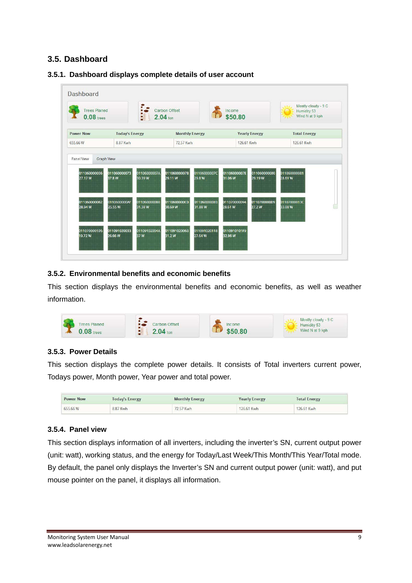# <span id="page-10-0"></span>**3.5. Dashboard**

#### Dashboard Mostly cloudy - 9 C ż **Trees Planed** Carbon Offset Income Humidity 53  $0.08$  trees  $2.04$  ton \$50.80 Wind N at 9 kph **Power Now Today's Energy Monthly Energy Yearly Energy Total Energy** 8.87 Kwh 72 57 Kwh 126.61 Kwh 126.61 Kwh 655 66 W Panel View **Graph View** 01106000007B 01106000007E 011060000036 011060000073 01106000007/ 011060000070 01106000008 01106000008  $27.17W$ **17 R W** 0.39W  $9.11 W$ 98W  $1.06W$ 9.19W 28.61 W 011060000082 0110600000AF 0110600000 0110600000C0 0110600000E0<br>31.88 W 011070000094 0110700000D9<br>27.2 W 011070000130 28 94 W 25 55 W 31 38 W 30 69 W 28.61 W **N 80 EB** 01109102004A 110700001D5 011091020033 11091020063 011091020118 0110910101F9 31.2W **972W** 26.66 W 37 W 27.64 W 32.98 W

#### <span id="page-10-1"></span>**3.5.1. Dashboard displays complete details of user account**

#### <span id="page-10-2"></span>**3.5.2. Environmental benefits and economic benefits**

This section displays the environmental benefits and economic benefits, as well as weather information.

| <b>Trees Planed</b><br>m. | Carbon Offset             | Income | Mostly cloudy - 9 C<br>Humidity 53 |
|---------------------------|---------------------------|--------|------------------------------------|
| trees                     | $\mathbf{A}_{\text{ton}}$ | .80    | Wind N at 9 kph                    |

#### <span id="page-10-3"></span>**3.5.3. Power Details**

This section displays the complete power details. It consists of Total inverters current power, Todays power, Month power, Year power and total power.

| <b>Power Now</b> | <b>Today's Energy</b> | <b>Monthly Energy</b> | <b>Yearly Energy</b> | <b>Total Energy</b> |
|------------------|-----------------------|-----------------------|----------------------|---------------------|
| 655.66 W         | 8.87 Kwh              | 72.57 Kwh             | 126,61 Kwh           | 126.61 Kwh          |

### <span id="page-10-4"></span>**3.5.4. Panel view**

This section displays information of all inverters, including the inverter's SN, current output power (unit: watt), working status, and the energy for Today/Last Week/This Month/This Year/Total mode. By default, the panel only displays the Inverter's SN and current output power (unit: watt), and put mouse pointer on the panel, it displays all information.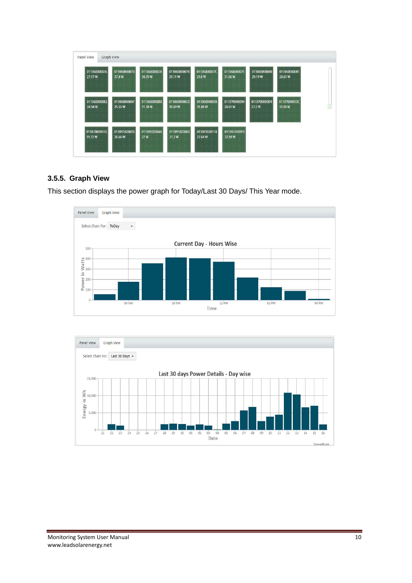| <b>Graph View</b><br>Panel View |                        |                     |                       |                        |                         |              |              |  |
|---------------------------------|------------------------|---------------------|-----------------------|------------------------|-------------------------|--------------|--------------|--|
| 011060000036                    | 011060000073           | 01106000007A        | 01106000007B          | 01106000007C           | 01106000007E            | 011060000080 | 011060000081 |  |
| 27.17W                          | 37.8W                  | 30.39W              | 29.11 W               | 29.8 W                 | 31.06W                  | 29.19 W      | 28.61 W      |  |
| 011060000082                    | 0110600000AF           | 0110600000B0        | 0110600000C0          | 0110600000E0           | 011070000094            | 0110700000D9 | 01107000013C |  |
| 28.94 W                         | 25.55 W                | 31.38W              | 30.69W                | 31.88W                 | 28.61 W                 | 27.2W        | 33.08 W      |  |
| 0110700001D5<br>19.72W          | 011091020033<br>26.66W | 01109102004A<br>37W | 011091020063<br>31.2W | 011091020118<br>27.64W | 0110910101F9<br>32.98 W |              |              |  |

### <span id="page-11-0"></span>**3.5.5. Graph View**

This section displays the power graph for Today/Last 30 Days/ This Year mode.



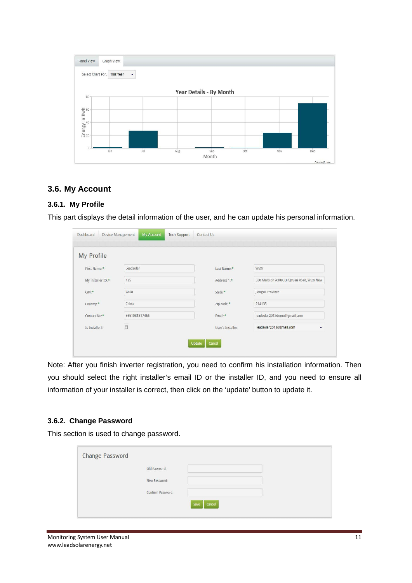

### <span id="page-12-0"></span>**3.6. My Account**

#### <span id="page-12-1"></span>**3.6.1. My Profile**

This part displays the detail information of the user, and he can update his personal information.

| My Profile                    |               |                   |                                           |
|-------------------------------|---------------|-------------------|-------------------------------------------|
| First Name:*                  | LeadSolar     | Last Name:        | WuXi                                      |
| My installer ID: <sup>±</sup> | 125           | Address 1:*       | 530 Mansion A308, Qingyuan Road, Wuxi New |
| City:                         | WuXi          | State:            | Jiangsu Province                          |
| Country: <sup>*</sup>         | China         | Zip code:*        | 214135                                    |
| Contact No:*                  | 8651081817466 | Email:*           | leadsolar2012demo@gmail.com               |
| Is Installer?:                | 画             | User's Installer: | leadsolar2012@gmail.com                   |

Note: After you finish inverter registration, you need to confirm his installation information. Then you should select the right installer's email ID or the installer ID, and you need to ensure all information of your installer is correct, then click on the 'update' button to update it.

#### <span id="page-12-2"></span>**3.6.2. Change Password**

This section is used to change password.

| Old Password:     |  |  |
|-------------------|--|--|
| New Password:     |  |  |
| Confirm Password: |  |  |